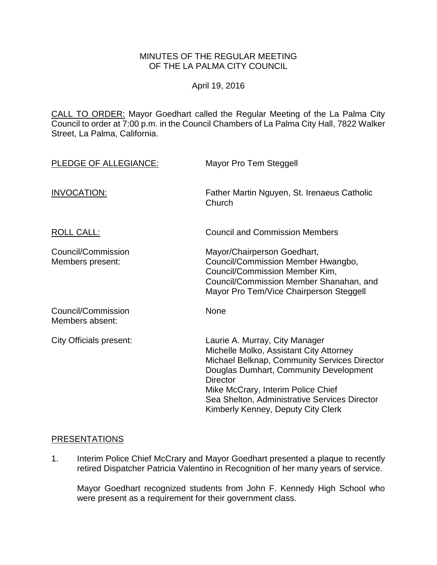### MINUTES OF THE REGULAR MEETING OF THE LA PALMA CITY COUNCIL

April 19, 2016

CALL TO ORDER: [Mayor Goedhart called the Regular Meeting of the La Palma City](http://lapalma.granicus.com/MediaPlayer.php?view_id=&clip_id=987&meta_id=131668)  [Council to order at 7:00 p.m. in the Council Chambers of La Palma City Hall, 7822 Walker](http://lapalma.granicus.com/MediaPlayer.php?view_id=&clip_id=987&meta_id=131668)  [Street, La Palma, California.](http://lapalma.granicus.com/MediaPlayer.php?view_id=&clip_id=987&meta_id=131668)

| PLEDGE OF ALLEGIANCE:                  | Mayor Pro Tem Steggell                                                                                                                                                                                                                                                                                              |
|----------------------------------------|---------------------------------------------------------------------------------------------------------------------------------------------------------------------------------------------------------------------------------------------------------------------------------------------------------------------|
| INVOCATION:                            | Father Martin Nguyen, St. Irenaeus Catholic<br>Church                                                                                                                                                                                                                                                               |
| <b>ROLL CALL:</b>                      | <b>Council and Commission Members</b>                                                                                                                                                                                                                                                                               |
| Council/Commission<br>Members present: | Mayor/Chairperson Goedhart,<br>Council/Commission Member Hwangbo,<br>Council/Commission Member Kim,<br>Council/Commission Member Shanahan, and<br>Mayor Pro Tem/Vice Chairperson Steggell                                                                                                                           |
| Council/Commission<br>Members absent:  | None                                                                                                                                                                                                                                                                                                                |
| City Officials present:                | Laurie A. Murray, City Manager<br>Michelle Molko, Assistant City Attorney<br>Michael Belknap, Community Services Director<br>Douglas Dumhart, Community Development<br><b>Director</b><br>Mike McCrary, Interim Police Chief<br>Sea Shelton, Administrative Services Director<br>Kimberly Kenney, Deputy City Clerk |

#### [PRESENTATIONS](http://lapalma.granicus.com/MediaPlayer.php?view_id=&clip_id=987&meta_id=131672)

1. [Interim Police Chief McCrary and Mayor Goedhart presented a plaque to recently](http://lapalma.granicus.com/MediaPlayer.php?view_id=&clip_id=987&meta_id=131673)  [retired Dispatcher Patricia Valentino in Recognition of her many years of service.](http://lapalma.granicus.com/MediaPlayer.php?view_id=&clip_id=987&meta_id=131673)

Mayor Goedhart recognized students from John F. Kennedy High School who were present as a requirement for their government class.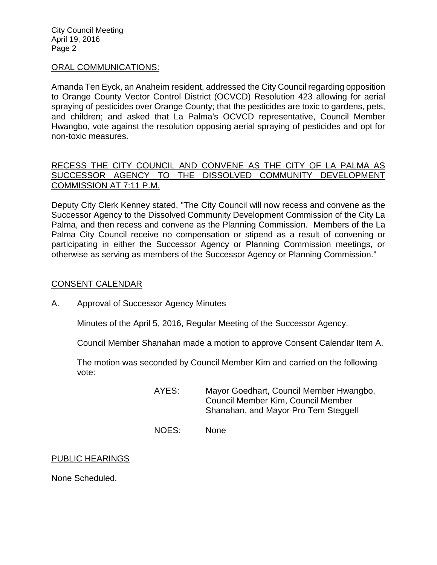City Council Meeting April 19, 2016 Page 2

#### [ORAL COMMUNICATIONS:](http://lapalma.granicus.com/MediaPlayer.php?view_id=&clip_id=987&meta_id=131679)

Amanda Ten Eyck, an Anaheim resident, addressed the City Council regarding opposition to Orange County Vector Control District (OCVCD) Resolution 423 allowing for aerial spraying of pesticides over Orange County; that the pesticides are toxic to gardens, pets, and children; and asked that La Palma's OCVCD representative, Council Member Hwangbo, vote against the resolution opposing aerial spraying of pesticides and opt for non-toxic measures.

### [RECESS THE CITY COUNCIL AND CONVENE AS THE CITY OF LA PALMA AS](http://lapalma.granicus.com/MediaPlayer.php?view_id=&clip_id=987&meta_id=131677)  [SUCCESSOR AGENCY TO THE DISSOLVED COMMUNITY DEVELOPMENT](http://lapalma.granicus.com/MediaPlayer.php?view_id=&clip_id=987&meta_id=131677)  [COMMISSION AT 7:11 P.M.](http://lapalma.granicus.com/MediaPlayer.php?view_id=&clip_id=987&meta_id=131677)

Deputy City Clerk Kenney stated, "The City Council will now recess and convene as the Successor Agency to the Dissolved Community Development Commission of the City La Palma, and then recess and convene as the Planning Commission. Members of the La Palma City Council receive no compensation or stipend as a result of convening or participating in either the Successor Agency or Planning Commission meetings, or otherwise as serving as members of the Successor Agency or Planning Commission."

#### [CONSENT CALENDAR](http://lapalma.granicus.com/MediaPlayer.php?view_id=&clip_id=987&meta_id=131683)

A. [Approval of Successor Agency Minutes](http://lapalma.granicus.com/MediaPlayer.php?view_id=&clip_id=987&meta_id=131684)

Minutes of the April 5, 2016, Regular Meeting of the Successor Agency.

Council Member Shanahan made a motion to approve Consent Calendar Item A.

The motion was seconded by Council Member Kim and carried on the following vote:

> AYES: Mayor Goedhart, Council Member Hwangbo, Council Member Kim, Council Member Shanahan, and Mayor Pro Tem Steggell

NOES: None

#### PUBLIC HEARINGS

None Scheduled.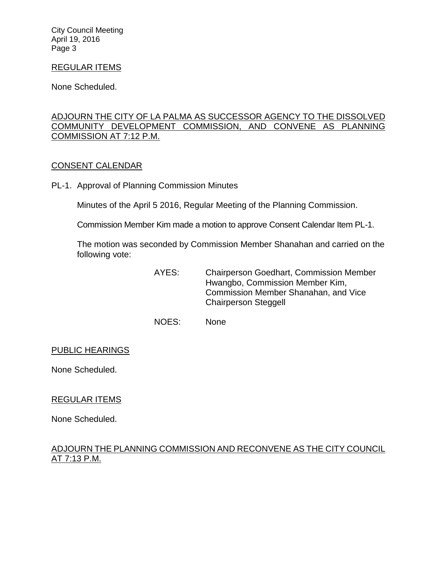City Council Meeting April 19, 2016 Page 3

### REGULAR ITEMS

None Scheduled.

# [ADJOURN THE CITY OF LA PALMA AS SUCCESSOR AGENCY TO THE DISSOLVED](http://lapalma.granicus.com/MediaPlayer.php?view_id=&clip_id=987&meta_id=131686)  [COMMUNITY DEVELOPMENT COMMISSION, AND CONVENE AS PLANNING](http://lapalma.granicus.com/MediaPlayer.php?view_id=&clip_id=987&meta_id=131686)  [COMMISSION AT 7:12 P.M.](http://lapalma.granicus.com/MediaPlayer.php?view_id=&clip_id=987&meta_id=131686)

#### [CONSENT CALENDAR](http://lapalma.granicus.com/MediaPlayer.php?view_id=&clip_id=987&meta_id=131687)

PL-1. Approval of Planning Commission Minutes

Minutes of the April 5 2016, Regular Meeting of the Planning Commission.

Commission Member Kim made a motion to approve Consent Calendar Item PL-1.

The motion was seconded by Commission Member Shanahan and carried on the following vote:

> AYES: Chairperson Goedhart, Commission Member Hwangbo, Commission Member Kim, Commission Member Shanahan, and Vice Chairperson Steggell

NOES: None

### PUBLIC HEARINGS

None Scheduled.

### REGULAR ITEMS

None Scheduled.

### [ADJOURN THE PLANNING COMMISSION AND RECONVENE AS THE CITY COUNCIL](http://lapalma.granicus.com/MediaPlayer.php?view_id=&clip_id=987&meta_id=131690)  [AT 7:13 P.M.](http://lapalma.granicus.com/MediaPlayer.php?view_id=&clip_id=987&meta_id=131690)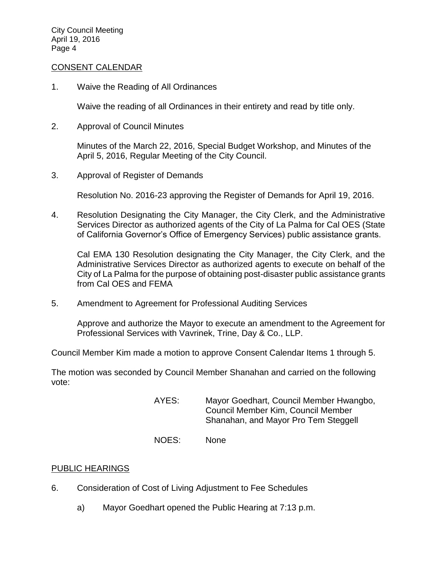#### [CONSENT CALENDAR](http://lapalma.granicus.com/MediaPlayer.php?view_id=&clip_id=987&meta_id=131691)

1. Waive the Reading of All Ordinances

Waive the reading of all Ordinances in their entirety and read by title only.

2. Approval of Council Minutes

Minutes of the March 22, 2016, Special Budget Workshop, and Minutes of the April 5, 2016, Regular Meeting of the City Council.

3. Approval of Register of Demands

Resolution No. 2016-23 approving the Register of Demands for April 19, 2016.

4. Resolution Designating the City Manager, the City Clerk, and the Administrative Services Director as authorized agents of the City of La Palma for Cal OES (State of California Governor's Office of Emergency Services) public assistance grants.

Cal EMA 130 Resolution designating the City Manager, the City Clerk, and the Administrative Services Director as authorized agents to execute on behalf of the City of La Palma for the purpose of obtaining post-disaster public assistance grants from Cal OES and FEMA

5. Amendment to Agreement for Professional Auditing Services

Approve and authorize the Mayor to execute an amendment to the Agreement for Professional Services with Vavrinek, Trine, Day & Co., LLP.

Council Member Kim made a motion to approve Consent Calendar Items 1 through 5.

The motion was seconded by Council Member Shanahan and carried on the following vote:

- AYES: Mayor Goedhart, Council Member Hwangbo, Council Member Kim, Council Member Shanahan, and Mayor Pro Tem Steggell
- NOES: None

#### PUBLIC HEARINGS

- 6. [Consideration of Cost of Living Adjustment to Fee Schedules](http://lapalma.granicus.com/MediaPlayer.php?view_id=&clip_id=987&meta_id=131703)
	- a) [Mayor Goedhart opened the Public Hearing at 7:13 p.m.](http://lapalma.granicus.com/MediaPlayer.php?view_id=&clip_id=987&meta_id=131704)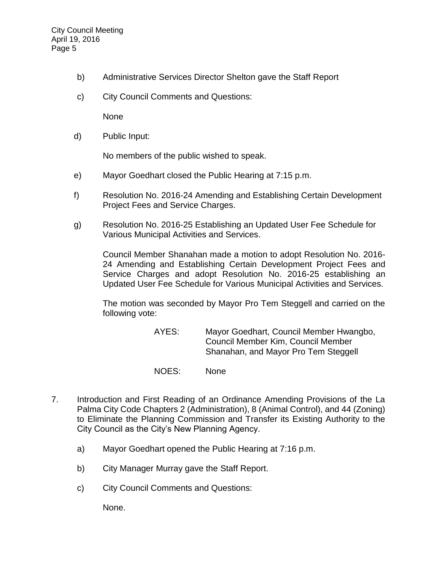- b) [Administrative Services Director Shelton gave the Staff Report](http://lapalma.granicus.com/MediaPlayer.php?view_id=&clip_id=987&meta_id=131705)
- c) [City Council Comments and Questions:](http://lapalma.granicus.com/MediaPlayer.php?view_id=&clip_id=987&meta_id=131706)

None

d) [Public Input:](http://lapalma.granicus.com/MediaPlayer.php?view_id=&clip_id=987&meta_id=131707)

No members of the public wished to speak.

- e) [Mayor Goedhart closed the Public Hearing at 7:15 p.m.](http://lapalma.granicus.com/MediaPlayer.php?view_id=&clip_id=987&meta_id=131708)
- f) Resolution No. 2016-24 Amending and Establishing Certain Development Project Fees and Service Charges.
- g) Resolution No. 2016-25 Establishing an Updated User Fee Schedule for Various Municipal Activities and Services.

Council Member Shanahan made a motion to adopt Resolution No. 2016- 24 Amending and Establishing Certain Development Project Fees and Service Charges and adopt Resolution No. 2016-25 establishing an Updated User Fee Schedule for Various Municipal Activities and Services.

The motion was seconded by Mayor Pro Tem Steggell and carried on the following vote:

> AYES: Mayor Goedhart, Council Member Hwangbo, Council Member Kim, Council Member Shanahan, and Mayor Pro Tem Steggell

- NOES: None
- 7. [Introduction and First Reading of an Ordinance Amending Provisions of the La](http://lapalma.granicus.com/MediaPlayer.php?view_id=&clip_id=987&meta_id=131711)  [Palma City Code Chapters 2 \(Administration\), 8 \(Animal Control\), and 44 \(Zoning\)](http://lapalma.granicus.com/MediaPlayer.php?view_id=&clip_id=987&meta_id=131711)  [to Eliminate the Planning Commission and Transfer its Existing Authority to the](http://lapalma.granicus.com/MediaPlayer.php?view_id=&clip_id=987&meta_id=131711)  [City Council as the City's New Planning Agency.](http://lapalma.granicus.com/MediaPlayer.php?view_id=&clip_id=987&meta_id=131711)
	- a) [Mayor Goedhart opened the Public](http://lapalma.granicus.com/MediaPlayer.php?view_id=&clip_id=987&meta_id=131712) Hearing at 7:16 p.m.
	- b) [City Manager Murray gave the](http://lapalma.granicus.com/MediaPlayer.php?view_id=&clip_id=987&meta_id=131713) Staff Report.
	- c) [City Council Comments and Questions:](http://lapalma.granicus.com/MediaPlayer.php?view_id=&clip_id=987&meta_id=131714)

None.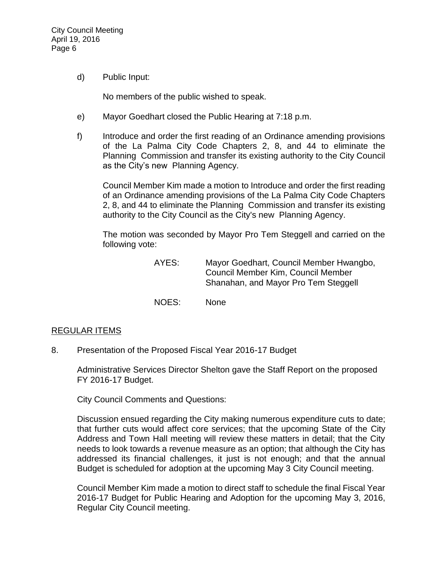d) [Public Input:](http://lapalma.granicus.com/MediaPlayer.php?view_id=&clip_id=987&meta_id=131715)

No members of the public wished to speak.

- e) [Mayor Goedhart closed the Public Hearing at 7:18 p.m.](http://lapalma.granicus.com/MediaPlayer.php?view_id=&clip_id=987&meta_id=131716)
- f) [Introduce and order the first reading of an Ordinance amending provisions](http://lapalma.granicus.com/MediaPlayer.php?view_id=&clip_id=987&meta_id=131717)  [of the La Palma City Code Chapters 2, 8, and 44 to eliminate the](http://lapalma.granicus.com/MediaPlayer.php?view_id=&clip_id=987&meta_id=131717)  Planning [Commission and transfer its existing authority to the City Council](http://lapalma.granicus.com/MediaPlayer.php?view_id=&clip_id=987&meta_id=131717)  as the City's new [Planning Agency.](http://lapalma.granicus.com/MediaPlayer.php?view_id=&clip_id=987&meta_id=131717)

Council Member Kim made a motion to Introduce and order the first reading of an Ordinance amending provisions of the La Palma City Code Chapters 2, 8, and 44 to eliminate the Planning Commission and transfer its existing authority to the City Council as the City's new Planning Agency.

The motion was seconded by Mayor Pro Tem Steggell and carried on the following vote:

- AYES: Mayor Goedhart, Council Member Hwangbo, Council Member Kim, Council Member Shanahan, and Mayor Pro Tem Steggell
- NOES: None

#### [REGULAR ITEMS](http://lapalma.granicus.com/MediaPlayer.php?view_id=&clip_id=987&meta_id=131723)

8. [Presentation of the Proposed Fiscal Year 2016-17](http://lapalma.granicus.com/MediaPlayer.php?view_id=&clip_id=987&meta_id=131724) Budget

Administrative Services Director Shelton gave the Staff Report on the proposed FY 2016-17 Budget.

City Council Comments and Questions:

Discussion ensued regarding the City making numerous expenditure cuts to date; that further cuts would affect core services; that the upcoming State of the City Address and Town Hall meeting will review these matters in detail; that the City needs to look towards a revenue measure as an option; that although the City has addressed its financial challenges, it just is not enough; and that the annual Budget is scheduled for adoption at the upcoming May 3 City Council meeting.

Council Member Kim made a motion to direct staff to schedule the final Fiscal Year 2016-17 Budget for Public Hearing and Adoption for the upcoming May 3, 2016, Regular City Council meeting.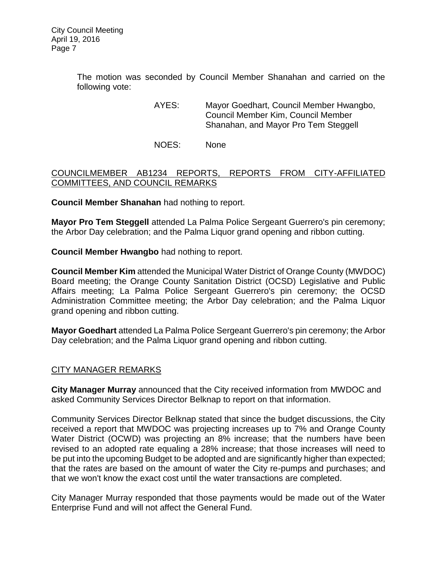The motion was seconded by Council Member Shanahan and carried on the following vote:

> AYES: Mayor Goedhart, Council Member Hwangbo, Council Member Kim, Council Member Shanahan, and Mayor Pro Tem Steggell

NOES: None

# [COUNCILMEMBER AB1234 REPORTS, REPORTS FROM CITY-AFFILIATED](http://lapalma.granicus.com/MediaPlayer.php?view_id=&clip_id=987&meta_id=131728)  [COMMITTEES, AND COUNCIL REMARKS](http://lapalma.granicus.com/MediaPlayer.php?view_id=&clip_id=987&meta_id=131728)

**Council Member Shanahan** had nothing to report.

**Mayor Pro Tem Steggell** attended La Palma Police Sergeant Guerrero's pin ceremony; the Arbor Day celebration; and the Palma Liquor grand opening and ribbon cutting.

**Council Member Hwangbo** had nothing to report.

**Council Member Kim** attended the Municipal Water District of Orange County (MWDOC) Board meeting; the Orange County Sanitation District (OCSD) Legislative and Public Affairs meeting; La Palma Police Sergeant Guerrero's pin ceremony; the OCSD Administration Committee meeting; the Arbor Day celebration; and the Palma Liquor grand opening and ribbon cutting.

**Mayor Goedhart** attended La Palma Police Sergeant Guerrero's pin ceremony; the Arbor Day celebration; and the Palma Liquor grand opening and ribbon cutting.

### [CITY MANAGER REMARKS](http://lapalma.granicus.com/MediaPlayer.php?view_id=&clip_id=987&meta_id=131751)

**City Manager Murray** announced that the City received information from MWDOC and asked Community Services Director Belknap to report on that information.

Community Services Director Belknap stated that since the budget discussions, the City received a report that MWDOC was projecting increases up to 7% and Orange County Water District (OCWD) was projecting an 8% increase; that the numbers have been revised to an adopted rate equaling a 28% increase; that those increases will need to be put into the upcoming Budget to be adopted and are significantly higher than expected; that the rates are based on the amount of water the City re-pumps and purchases; and that we won't know the exact cost until the water transactions are completed.

City Manager Murray responded that those payments would be made out of the Water Enterprise Fund and will not affect the General Fund.